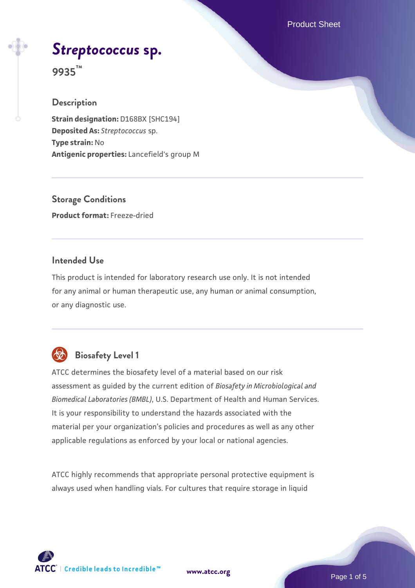Product Sheet

## *[Streptococcus](https://www.atcc.org/products/9935)* **[sp.](https://www.atcc.org/products/9935)**

**9935™**

#### **Description**

**Strain designation:** D168BX [SHC194] **Deposited As:** *Streptococcus* sp. **Type strain:** No **Antigenic properties:** Lancefield's group M

**Storage Conditions Product format:** Freeze-dried

#### **Intended Use**

This product is intended for laboratory research use only. It is not intended for any animal or human therapeutic use, any human or animal consumption, or any diagnostic use.

## **Biosafety Level 1**

ATCC determines the biosafety level of a material based on our risk assessment as guided by the current edition of *Biosafety in Microbiological and Biomedical Laboratories (BMBL)*, U.S. Department of Health and Human Services. It is your responsibility to understand the hazards associated with the material per your organization's policies and procedures as well as any other applicable regulations as enforced by your local or national agencies.

ATCC highly recommends that appropriate personal protective equipment is always used when handling vials. For cultures that require storage in liquid

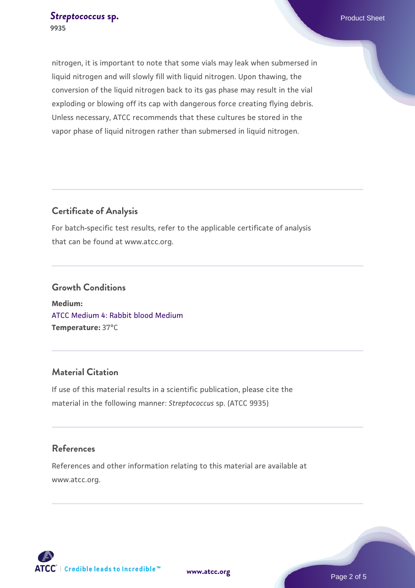#### **[Streptococcus](https://www.atcc.org/products/9935) [sp.](https://www.atcc.org/products/9935) Product Sheet Streptococcus** sp. **9935**

nitrogen, it is important to note that some vials may leak when submersed in liquid nitrogen and will slowly fill with liquid nitrogen. Upon thawing, the conversion of the liquid nitrogen back to its gas phase may result in the vial exploding or blowing off its cap with dangerous force creating flying debris. Unless necessary, ATCC recommends that these cultures be stored in the vapor phase of liquid nitrogen rather than submersed in liquid nitrogen.

#### **Certificate of Analysis**

For batch-specific test results, refer to the applicable certificate of analysis that can be found at www.atcc.org.

### **Growth Conditions**

**Medium:**  [ATCC Medium 4: Rabbit blood Medium](https://www.atcc.org/-/media/product-assets/documents/microbial-media-formulations/4/atcc-medium-0004.pdf?rev=c76fa526d381497695ce581b483e9720) **Temperature:** 37°C

#### **Material Citation**

If use of this material results in a scientific publication, please cite the material in the following manner: *Streptococcus* sp. (ATCC 9935)

#### **References**

References and other information relating to this material are available at www.atcc.org.





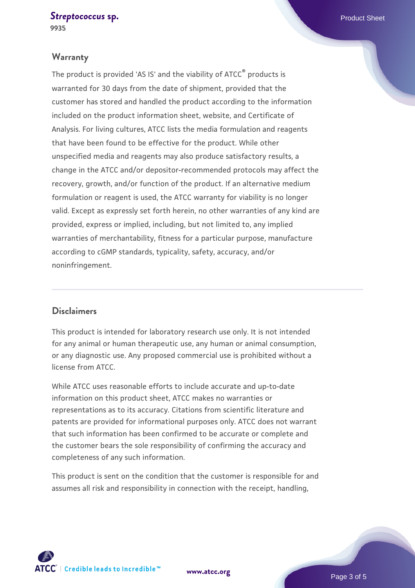#### **[Streptococcus](https://www.atcc.org/products/9935) [sp.](https://www.atcc.org/products/9935) Product Sheet Streptococcus** sp. **9935**

#### **Warranty**

The product is provided 'AS IS' and the viability of ATCC® products is warranted for 30 days from the date of shipment, provided that the customer has stored and handled the product according to the information included on the product information sheet, website, and Certificate of Analysis. For living cultures, ATCC lists the media formulation and reagents that have been found to be effective for the product. While other unspecified media and reagents may also produce satisfactory results, a change in the ATCC and/or depositor-recommended protocols may affect the recovery, growth, and/or function of the product. If an alternative medium formulation or reagent is used, the ATCC warranty for viability is no longer valid. Except as expressly set forth herein, no other warranties of any kind are provided, express or implied, including, but not limited to, any implied warranties of merchantability, fitness for a particular purpose, manufacture according to cGMP standards, typicality, safety, accuracy, and/or noninfringement.

#### **Disclaimers**

This product is intended for laboratory research use only. It is not intended for any animal or human therapeutic use, any human or animal consumption, or any diagnostic use. Any proposed commercial use is prohibited without a license from ATCC.

While ATCC uses reasonable efforts to include accurate and up-to-date information on this product sheet, ATCC makes no warranties or representations as to its accuracy. Citations from scientific literature and patents are provided for informational purposes only. ATCC does not warrant that such information has been confirmed to be accurate or complete and the customer bears the sole responsibility of confirming the accuracy and completeness of any such information.

This product is sent on the condition that the customer is responsible for and assumes all risk and responsibility in connection with the receipt, handling,



**[www.atcc.org](http://www.atcc.org)**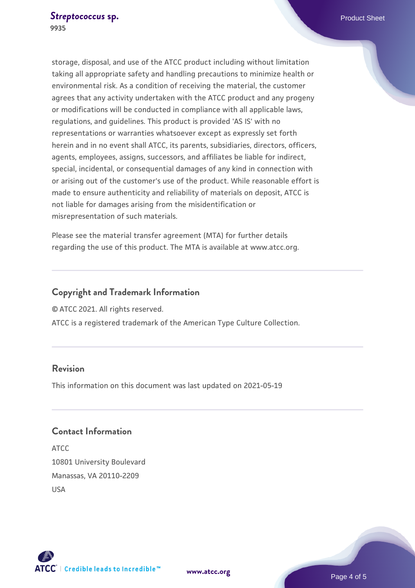storage, disposal, and use of the ATCC product including without limitation taking all appropriate safety and handling precautions to minimize health or environmental risk. As a condition of receiving the material, the customer agrees that any activity undertaken with the ATCC product and any progeny or modifications will be conducted in compliance with all applicable laws, regulations, and guidelines. This product is provided 'AS IS' with no representations or warranties whatsoever except as expressly set forth herein and in no event shall ATCC, its parents, subsidiaries, directors, officers, agents, employees, assigns, successors, and affiliates be liable for indirect, special, incidental, or consequential damages of any kind in connection with or arising out of the customer's use of the product. While reasonable effort is made to ensure authenticity and reliability of materials on deposit, ATCC is not liable for damages arising from the misidentification or misrepresentation of such materials.

Please see the material transfer agreement (MTA) for further details regarding the use of this product. The MTA is available at www.atcc.org.

#### **Copyright and Trademark Information**

© ATCC 2021. All rights reserved.

ATCC is a registered trademark of the American Type Culture Collection.

#### **Revision**

This information on this document was last updated on 2021-05-19

#### **Contact Information**

ATCC 10801 University Boulevard Manassas, VA 20110-2209 USA